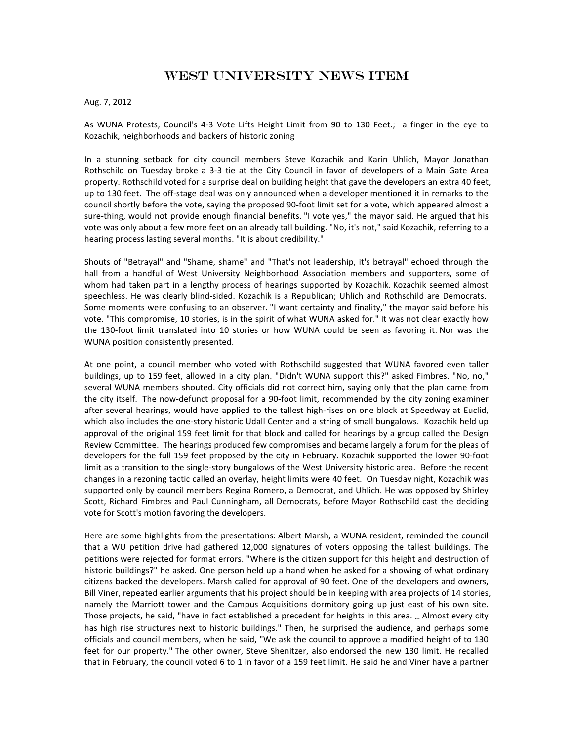## West University News iTEM

## Aug. 7, 2012

As WUNA Protests, Council's 4-3 Vote Lifts Height Limit from 90 to 130 Feet.; a finger in the eye to Kozachik, neighborhoods and backers of historic zoning

In a stunning setback for city council members Steve Kozachik and Karin Uhlich, Mayor Jonathan Rothschild on Tuesday broke a 3-3 tie at the City Council in favor of developers of a Main Gate Area property. Rothschild voted for a surprise deal on building height that gave the developers an extra 40 feet, up to 130 feet. The off-stage deal was only announced when a developer mentioned it in remarks to the council shortly before the vote, saying the proposed 90-foot limit set for a vote, which appeared almost a sure-thing, would not provide enough financial benefits. "I vote yes," the mayor said. He argued that his vote was only about a few more feet on an already tall building. "No, it's not," said Kozachik, referring to a hearing process lasting several months. "It is about credibility."

Shouts of "Betrayal" and "Shame, shame" and "That's not leadership, it's betrayal" echoed through the hall from a handful of West University Neighborhood Association members and supporters, some of whom had taken part in a lengthy process of hearings supported by Kozachik. Kozachik seemed almost speechless. He was clearly blind-sided. Kozachik is a Republican; Uhlich and Rothschild are Democrats. Some moments were confusing to an observer. "I want certainty and finality," the mayor said before his vote. "This compromise, 10 stories, is in the spirit of what WUNA asked for." It was not clear exactly how the 130-foot limit translated into 10 stories or how WUNA could be seen as favoring it. Nor was the WUNA position consistently presented.

At one point, a council member who voted with Rothschild suggested that WUNA favored even taller buildings, up to 159 feet, allowed in a city plan. "Didn't WUNA support this?" asked Fimbres. "No, no," several WUNA members shouted. City officials did not correct him, saying only that the plan came from the city itself. The now-defunct proposal for a 90-foot limit, recommended by the city zoning examiner after several hearings, would have applied to the tallest high-rises on one block at Speedway at Euclid, which also includes the one-story historic Udall Center and a string of small bungalows. Kozachik held up approval of the original 159 feet limit for that block and called for hearings by a group called the Design Review Committee. The hearings produced few compromises and became largely a forum for the pleas of developers for the full 159 feet proposed by the city in February. Kozachik supported the lower 90-foot limit as a transition to the single-story bungalows of the West University historic area. Before the recent changes in a rezoning tactic called an overlay, height limits were 40 feet. On Tuesday night, Kozachik was supported only by council members Regina Romero, a Democrat, and Uhlich. He was opposed by Shirley Scott, Richard Fimbres and Paul Cunningham, all Democrats, before Mayor Rothschild cast the deciding vote for Scott's motion favoring the developers.

Here are some highlights from the presentations: Albert Marsh, a WUNA resident, reminded the council that a WU petition drive had gathered 12,000 signatures of voters opposing the tallest buildings. The petitions were rejected for format errors. "Where is the citizen support for this height and destruction of historic buildings?" he asked. One person held up a hand when he asked for a showing of what ordinary citizens backed the developers. Marsh called for approval of 90 feet. One of the developers and owners, Bill Viner, repeated earlier arguments that his project should be in keeping with area projects of 14 stories, namely the Marriott tower and the Campus Acquisitions dormitory going up just east of his own site. Those projects, he said, "have in fact established a precedent for heights in this area. ... Almost every city has high rise structures next to historic buildings." Then, he surprised the audience, and perhaps some officials and council members, when he said, "We ask the council to approve a modified height of to 130 feet for our property." The other owner, Steve Shenitzer, also endorsed the new 130 limit. He recalled that in February, the council voted 6 to 1 in favor of a 159 feet limit. He said he and Viner have a partner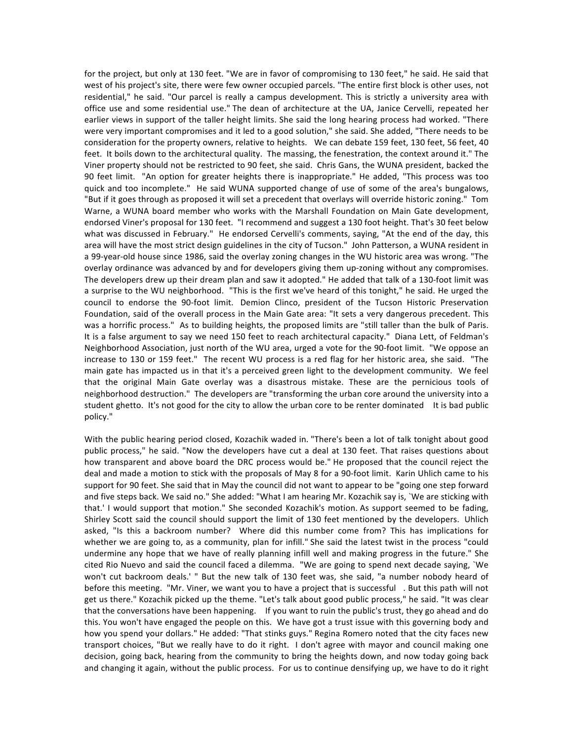for the project, but only at 130 feet. "We are in favor of compromising to 130 feet," he said. He said that west of his project's site, there were few owner occupied parcels. "The entire first block is other uses, not residential," he said. "Our parcel is really a campus development. This is strictly a university area with office use and some residential use." The dean of architecture at the UA, Janice Cervelli, repeated her earlier views in support of the taller height limits. She said the long hearing process had worked. "There were very important compromises and it led to a good solution," she said. She added, "There needs to be consideration for the property owners, relative to heights. We can debate 159 feet, 130 feet, 56 feet, 40 feet. It boils down to the architectural quality. The massing, the fenestration, the context around it." The Viner property should not be restricted to 90 feet, she said. Chris Gans, the WUNA president, backed the 90 feet limit. "An option for greater heights there is inappropriate." He added, "This process was too quick and too incomplete." He said WUNA supported change of use of some of the area's bungalows, "But if it goes through as proposed it will set a precedent that overlays will override historic zoning." Tom Warne, a WUNA board member who works with the Marshall Foundation on Main Gate development, endorsed Viner's proposal for 130 feet. "I recommend and suggest a 130 foot height. That's 30 feet below what was discussed in February." He endorsed Cervelli's comments, saying, "At the end of the day, this area will have the most strict design guidelines in the city of Tucson." John Patterson, a WUNA resident in a 99-year-old house since 1986, said the overlay zoning changes in the WU historic area was wrong. "The overlay ordinance was advanced by and for developers giving them up-zoning without any compromises. The developers drew up their dream plan and saw it adopted." He added that talk of a 130-foot limit was a surprise to the WU neighborhood. "This is the first we've heard of this tonight," he said. He urged the council to endorse the 90-foot limit. Demion Clinco, president of the Tucson Historic Preservation Foundation, said of the overall process in the Main Gate area: "It sets a very dangerous precedent. This was a horrific process." As to building heights, the proposed limits are "still taller than the bulk of Paris. It is a false argument to say we need 150 feet to reach architectural capacity." Diana Lett, of Feldman's Neighborhood Association, just north of the WU area, urged a vote for the 90-foot limit. "We oppose an increase to 130 or 159 feet." The recent WU process is a red flag for her historic area, she said. "The main gate has impacted us in that it's a perceived green light to the development community. We feel that the original Main Gate overlay was a disastrous mistake. These are the pernicious tools of neighborhood destruction." The developers are "transforming the urban core around the university into a student ghetto. It's not good for the city to allow the urban core to be renter dominated It is bad public policy."

With the public hearing period closed, Kozachik waded in. "There's been a lot of talk tonight about good public process," he said. "Now the developers have cut a deal at 130 feet. That raises questions about how transparent and above board the DRC process would be." He proposed that the council reject the deal and made a motion to stick with the proposals of May 8 for a 90-foot limit. Karin Uhlich came to his support for 90 feet. She said that in May the council did not want to appear to be "going one step forward and five steps back. We said no." She added: "What I am hearing Mr. Kozachik say is, `We are sticking with that.' I would support that motion." She seconded Kozachik's motion. As support seemed to be fading, Shirley Scott said the council should support the limit of 130 feet mentioned by the developers. Uhlich asked, "Is this a backroom number? Where did this number come from? This has implications for whether we are going to, as a community, plan for infill." She said the latest twist in the process "could undermine any hope that we have of really planning infill well and making progress in the future." She cited Rio Nuevo and said the council faced a dilemma. "We are going to spend next decade saying, `We won't cut backroom deals.' " But the new talk of 130 feet was, she said, "a number nobody heard of before this meeting. "Mr. Viner, we want you to have a project that is successful . But this path will not get us there." Kozachik picked up the theme. "Let's talk about good public process," he said. "It was clear that the conversations have been happening. If you want to ruin the public's trust, they go ahead and do this. You won't have engaged the people on this. We have got a trust issue with this governing body and how you spend your dollars." He added: "That stinks guys." Regina Romero noted that the city faces new transport choices, "But we really have to do it right. I don't agree with mayor and council making one decision, going back, hearing from the community to bring the heights down, and now today going back and changing it again, without the public process. For us to continue densifying up, we have to do it right